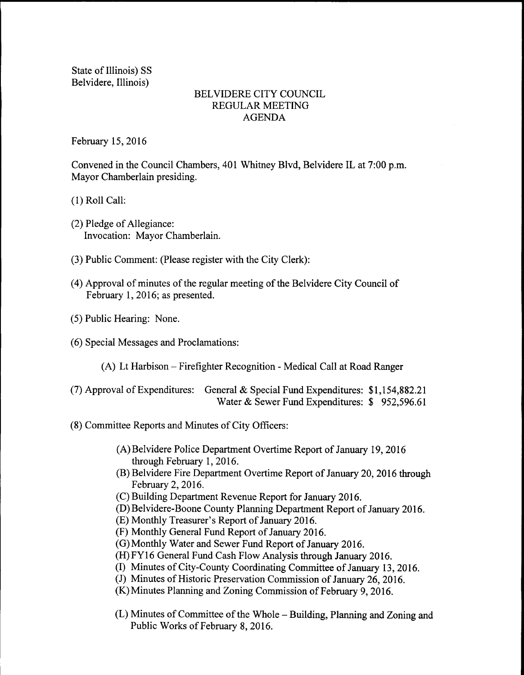State of Illinois) SS Belvidere, Illinois)

## BELVIDERE CITY COUNCIL REGULAR MEETING AGENDA

February 15, 2016

Convened in the Council Chambers, 401 Whitney Blvd, Belvidere IL at 7:00 p.m. Mayor Chamberlain presiding.

1) Roll Call:

- (2) Pledge of Allegiance: Invocation: Mayor Chamberlain.
- 3) Public Comment: (Please register with the City Clerk):
- 4) Approval of minutes of the regular meeting of the Belvidere City Council of February 1, 2016; as presented.
- 5) Public Hearing: None.
- 6) Special Messages and Proclamations:
	- A) Lt Harbison— Firefighter Recognition- Medical Call at Road Ranger
- (7) Approval of Expenditures: General & Special Fund Expenditures:  $$1,154,882.21$ Water & Sewer Fund Expenditures: \$952,596.61
- 8) Committee Reports and Minutes of City Officers:
	- A) Belvidere Police Department Overtime Report of January 19, 2016 through February 1, 2016.
	- B) Belvidere Fire Department Overtime Report of January 20, 2016 through February 2, 2016.
	- C) Building Department Revenue Report for January 2016.
	- D) Belvidere-Boone County Planning Department Report of January 2016.
	- (E) Monthly Treasurer's Report of January 2016.
	- F) Monthly General Fund Report of January 2016.
	- G) Monthly Water and Sewer Fund Report of January 2016.
	- (H) FY16 General Fund Cash Flow Analysis through January 2016.
	- I) Minutes of City-County Coordinating Committee of January 13, 2016.
	- (J) Minutes of Historic Preservation Commission of January 26, 2016.
	- K) Minutes Planning and Zoning Commission of February 9, 2016.
	- (L) Minutes of Committee of the Whole Building, Planning and Zoning and Public Works of February 8, 2016.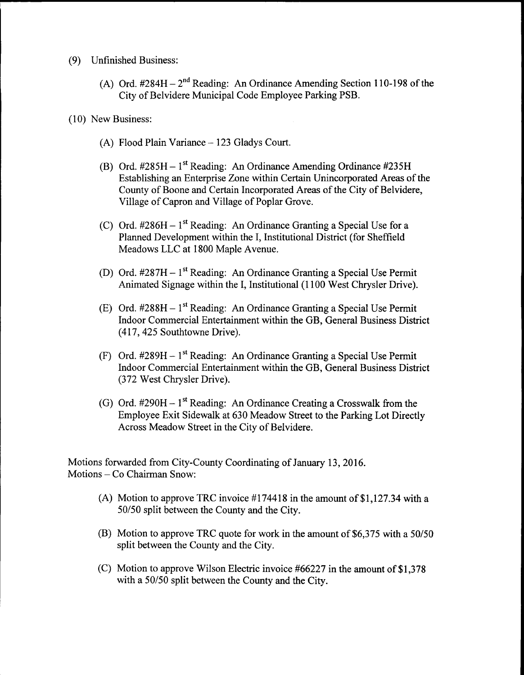- 9) Unfinished Business:
	- (A) Ord.  $#284H 2^{nd}$  Reading: An Ordinance Amending Section 110-198 of the City of Belvidere Municipal Code Employee Parking PSB.
- 10) New Business:
	- A) Flood Plain Variance— 123 Gladys Court.
	- B) Ord. #285H 1<sup>st</sup> Reading: An Ordinance Amending Ordinance #235H Establishing an Enterprise Zone within Certain Unincorporated Areas of the County of Boone and Certain Incorporated Areas of the City of Belvidere, Village of Capron and Village of Poplar Grove.
	- C) Ord.  $\#286H 1^{st}$  Reading: An Ordinance Granting a Special Use for a Planned Development within the 1, Institutional District( for Sheffield Meadows LLC at 1800 Maple Avenue.
	- D) Ord. #287H 1<sup>st</sup> Reading: An Ordinance Granting a Special Use Permit Animated Signage within the I, Institutional (1100 West Chrysler Drive).
	- E) Ord. #288H 1<sup>st</sup> Reading: An Ordinance Granting a Special Use Permit Indoor Commercial Entertainment within the GB, General Business District 417, 425 Southtowne Drive).
	- F) Ord. #289H 1<sup>st</sup> Reading: An Ordinance Granting a Special Use Permit Indoor Commercial Entertainment within the GB, General Business District 372 West Chrysler Drive).
	- G) Ord. #290H 1<sup>st</sup> Reading: An Ordinance Creating a Crosswalk from the Employee Exit Sidewalk at 630 Meadow Street to the Parking Lot Directly Across Meadow Street in the City of Belvidere.

Motions forwarded from City-County Coordinating of January 13, 2016. Motions—Co Chairman Snow:

- (A) Motion to approve TRC invoice  $\#174418$  in the amount of \$1,127.34 with a 50/50 split between the County and the City.
- (B) Motion to approve TRC quote for work in the amount of  $$6,375$  with a  $50/50$ split between the County and the City.
- (C) Motion to approve Wilson Electric invoice  $#66227$  in the amount of \$1,378 with a 50/50 split between the County and the City.